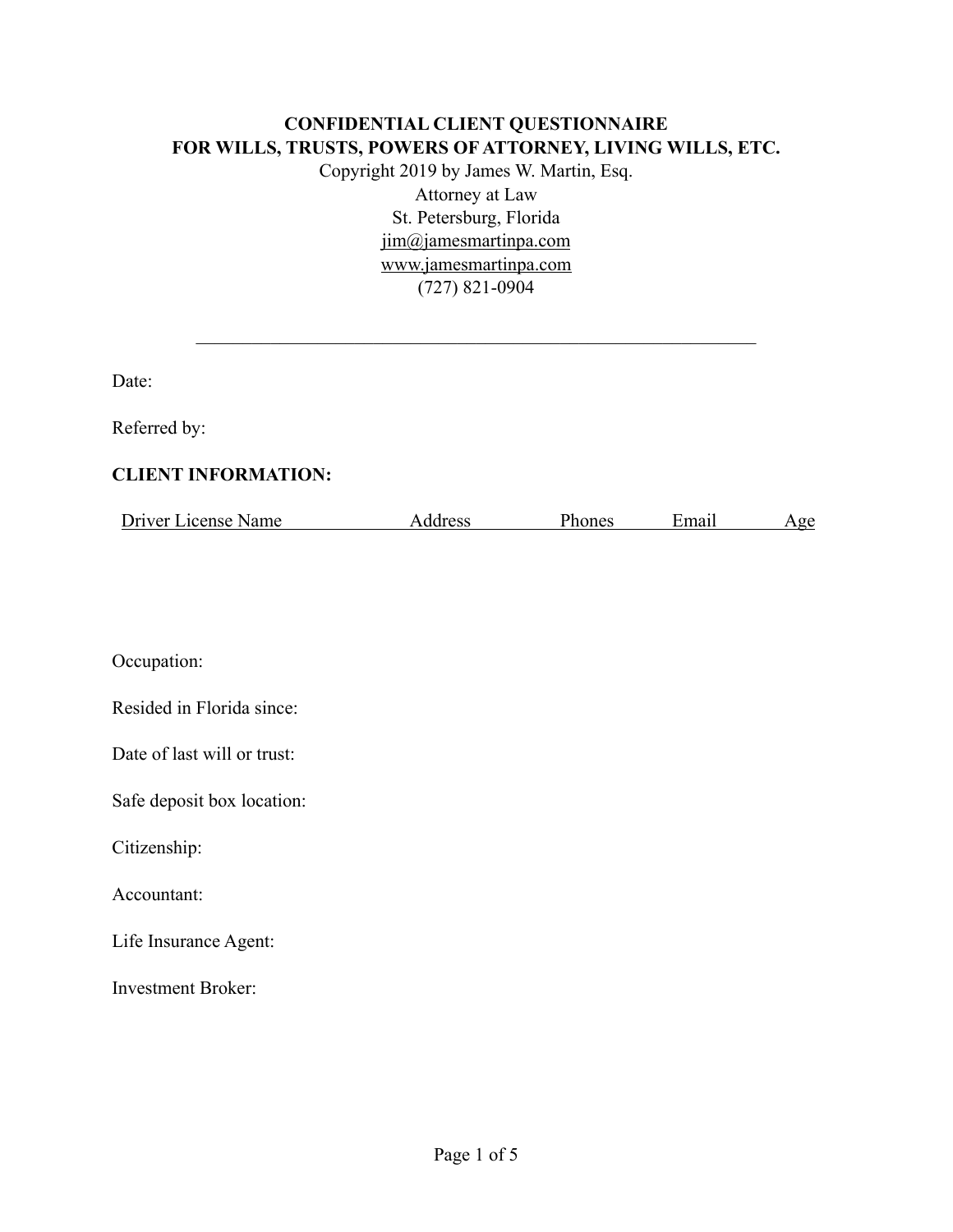#### **CONFIDENTIAL CLIENT QUESTIONNAIRE FOR WILLS, TRUSTS, POWERS OF ATTORNEY, LIVING WILLS, ETC.**

Copyright 2019 by James W. Martin, Esq. Attorney at Law St. Petersburg, Florida [jim@jamesmartinpa.com](mailto:jim@jamesmartinpa.com)  [www.jamesmartinpa.com](http://www.jamesmartinpa.com) (727) 821-0904

 $\mathcal{L}_\text{max}$  and the contract of the contract of the contract of the contract of the contract of the contract of

Date:

Referred by:

### **CLIENT INFORMATION:**

|  | Driver License Name | Address | Phones | ±mail | 0e |
|--|---------------------|---------|--------|-------|----|
|--|---------------------|---------|--------|-------|----|

Occupation:

| Resided in Florida since: |  |  |
|---------------------------|--|--|

Date of last will or trust:

Safe deposit box location:

Citizenship:

Accountant:

Life Insurance Agent:

Investment Broker: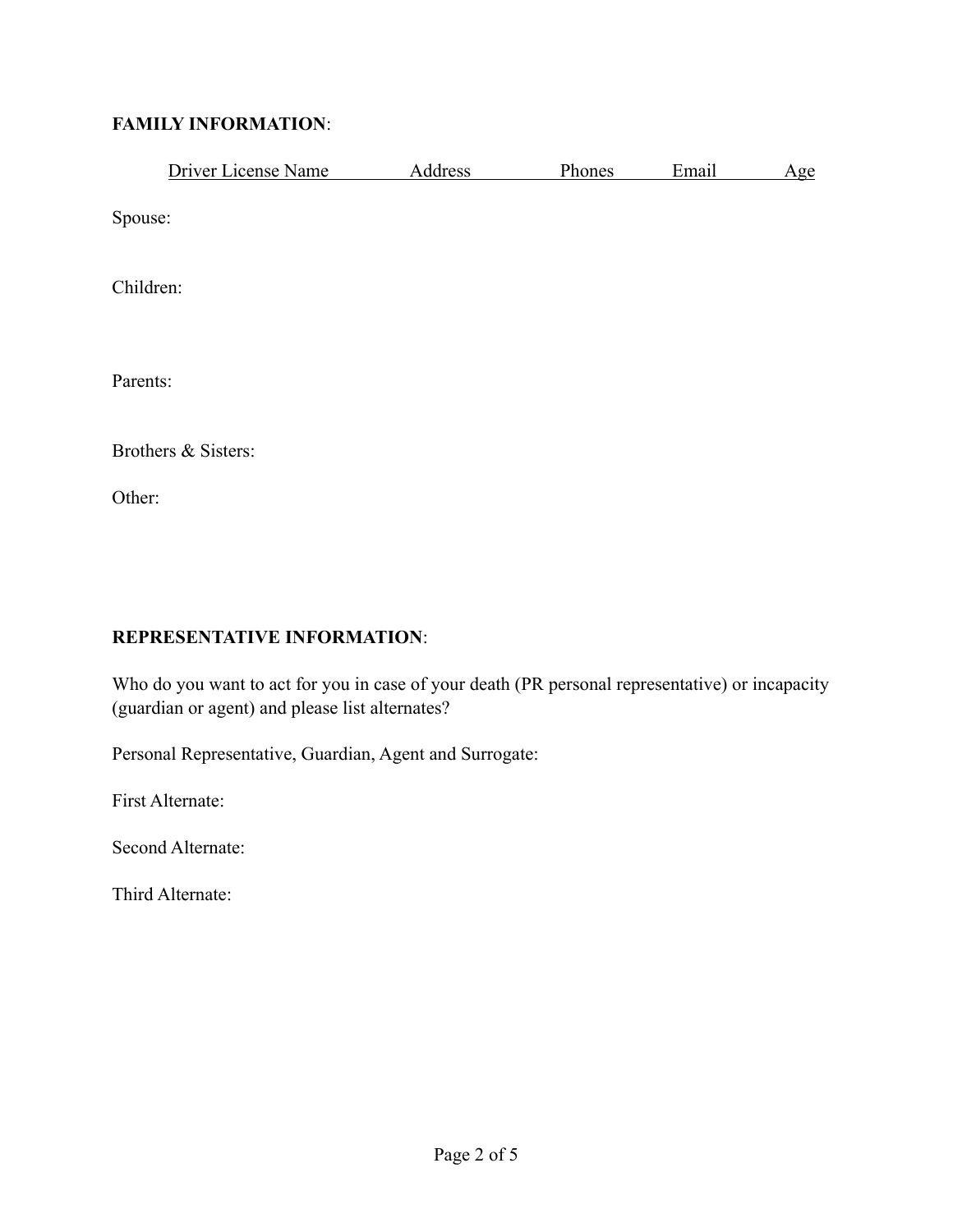### **FAMILY INFORMATION**:

|           | Driver License Name | Address | Phones | Email | Age |
|-----------|---------------------|---------|--------|-------|-----|
| Spouse:   |                     |         |        |       |     |
| Children: |                     |         |        |       |     |
| Parents:  |                     |         |        |       |     |
|           | Brothers & Sisters: |         |        |       |     |
| Other:    |                     |         |        |       |     |

### **REPRESENTATIVE INFORMATION**:

Who do you want to act for you in case of your death (PR personal representative) or incapacity (guardian or agent) and please list alternates?

Personal Representative, Guardian, Agent and Surrogate:

First Alternate:

Second Alternate:

Third Alternate: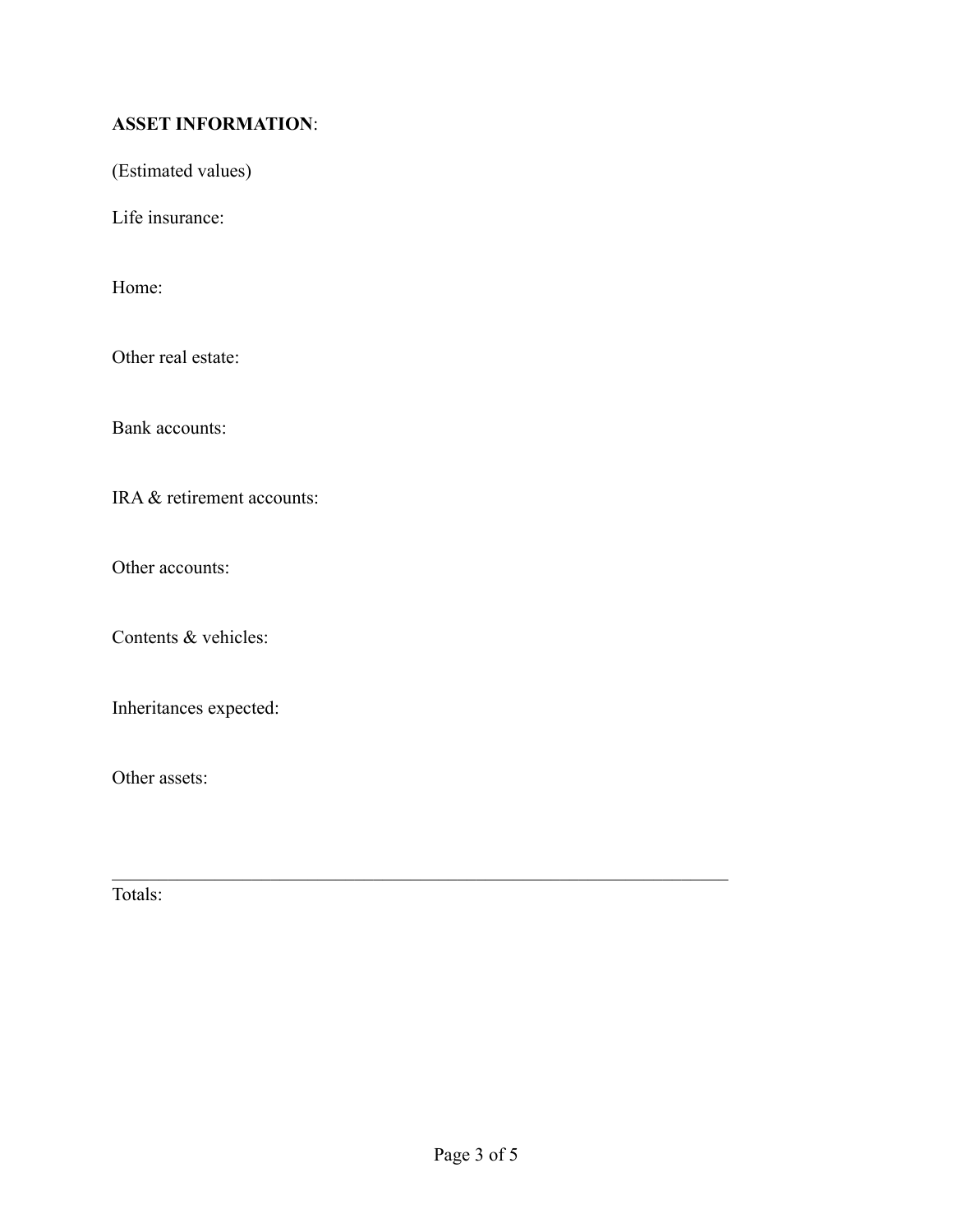# **ASSET INFORMATION**:

(Estimated values)

Life insurance:

Home:

Other real estate:

Bank accounts:

IRA & retirement accounts:

Other accounts:

Contents & vehicles:

Inheritances expected:

Other assets:

Totals:

 $\mathcal{L}_\text{max} = \mathcal{L}_\text{max} = \mathcal{L}_\text{max} = \mathcal{L}_\text{max} = \mathcal{L}_\text{max} = \mathcal{L}_\text{max} = \mathcal{L}_\text{max} = \mathcal{L}_\text{max} = \mathcal{L}_\text{max} = \mathcal{L}_\text{max} = \mathcal{L}_\text{max} = \mathcal{L}_\text{max} = \mathcal{L}_\text{max} = \mathcal{L}_\text{max} = \mathcal{L}_\text{max} = \mathcal{L}_\text{max} = \mathcal{L}_\text{max} = \mathcal{L}_\text{max} = \mathcal{$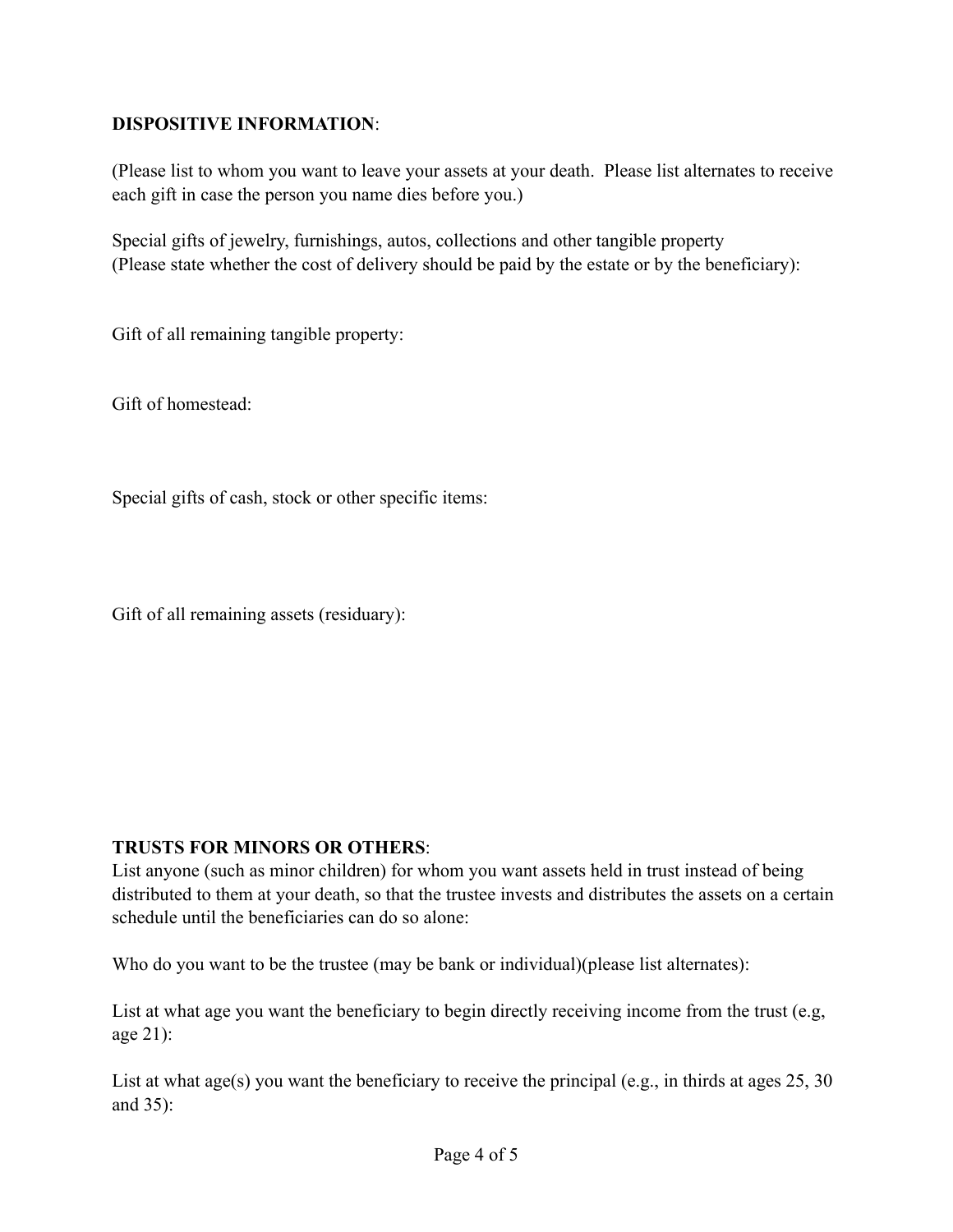## **DISPOSITIVE INFORMATION**:

(Please list to whom you want to leave your assets at your death. Please list alternates to receive each gift in case the person you name dies before you.)

Special gifts of jewelry, furnishings, autos, collections and other tangible property (Please state whether the cost of delivery should be paid by the estate or by the beneficiary):

Gift of all remaining tangible property:

Gift of homestead:

Special gifts of cash, stock or other specific items:

Gift of all remaining assets (residuary):

### **TRUSTS FOR MINORS OR OTHERS**:

List anyone (such as minor children) for whom you want assets held in trust instead of being distributed to them at your death, so that the trustee invests and distributes the assets on a certain schedule until the beneficiaries can do so alone:

Who do you want to be the trustee (may be bank or individual)(please list alternates):

List at what age you want the beneficiary to begin directly receiving income from the trust (e.g, age 21):

List at what age(s) you want the beneficiary to receive the principal (e.g., in thirds at ages 25, 30) and 35):